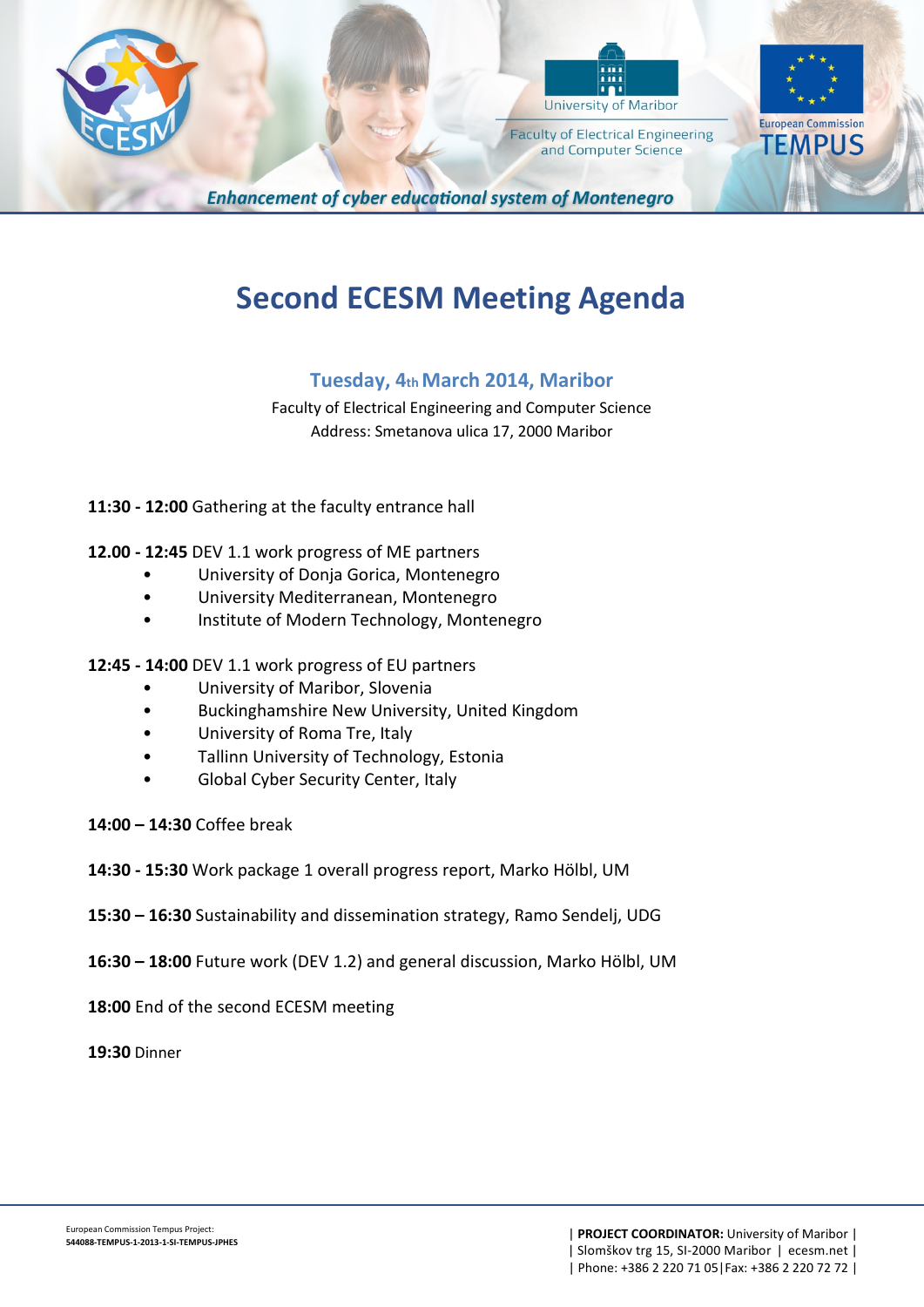



**Faculty of Electrical Engineering** and Computer Science



**Enhancement of cyber educational system of Montenegro** 

# **Second ECESM Meeting Agenda**

## **Tuesday, 4th March 2014, Maribor**

Faculty of Electrical Engineering and Computer Science Address: Smetanova ulica 17, 2000 Maribor

- **11:30 - 12:00** Gathering at the faculty entrance hall
- **12.00 - 12:45** DEV 1.1 work progress of ME partners
	- University of Donja Gorica, Montenegro
	- University Mediterranean, Montenegro
	- Institute of Modern Technology, Montenegro
- **12:45 - 14:00** DEV 1.1 work progress of EU partners
	- University of Maribor, Slovenia
	- Buckinghamshire New University, United Kingdom
	- University of Roma Tre, Italy
	- Tallinn University of Technology, Estonia
	- Global Cyber Security Center, Italy
- **14:00 – 14:30** Coffee break
- **14:30 - 15:30** Work package 1 overall progress report, Marko Hölbl, UM
- **15:30 – 16:30** Sustainability and dissemination strategy, Ramo Sendelj, UDG
- **16:30 – 18:00** Future work (DEV 1.2) and general discussion, Marko Hölbl, UM
- **18:00** End of the second ECESM meeting
- **19:30** Dinner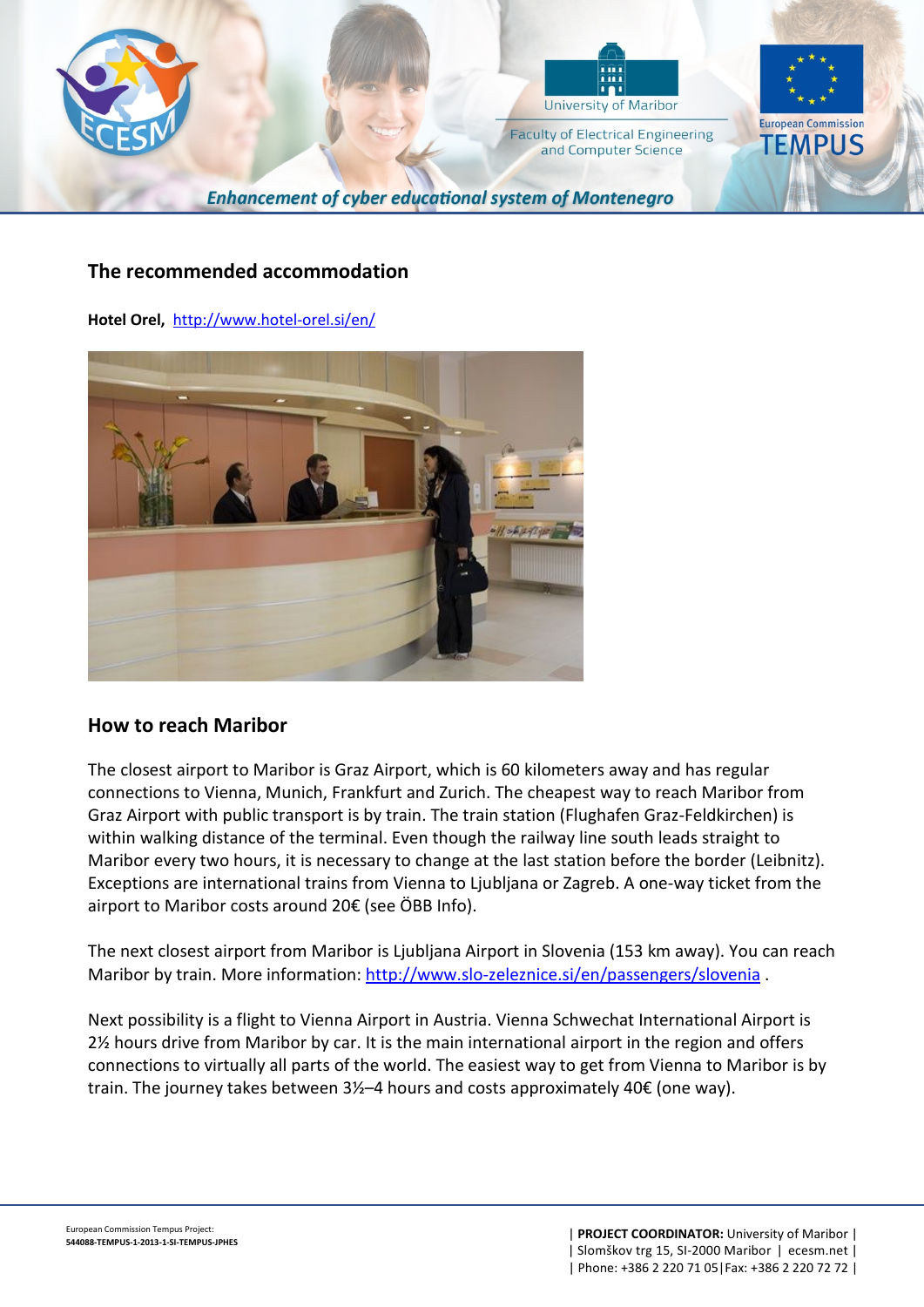

#### **The recommended accommodation**

**Hotel Orel,** <http://www.hotel-orel.si/en/>



#### **How to reach Maribor**

The closest airport to Maribor is Graz Airport, which is 60 kilometers away and has regular connections to Vienna, Munich, Frankfurt and Zurich. The cheapest way to reach Maribor from Graz Airport with public transport is by train. The train station (Flughafen Graz-Feldkirchen) is within walking distance of the terminal. Even though the railway line south leads straight to Maribor every two hours, it is necessary to change at the last station before the border (Leibnitz). Exceptions are international trains from Vienna to Ljubljana or Zagreb. A one-way ticket from the airport to Maribor costs around 20€ (see ÖBB Info).

The next closest airport from Maribor is Ljubljana Airport in Slovenia (153 km away). You can reach Maribor by train. More information[: http://www.slo-zeleznice.si/en/passengers/slovenia](http://www.slo-zeleznice.si/en/passengers/slovenia).

Next possibility is a flight to Vienna Airport in Austria. Vienna Schwechat International Airport is 2½ hours drive from Maribor by car. It is the main international airport in the region and offers connections to virtually all parts of the world. The easiest way to get from Vienna to Maribor is by train. The journey takes between 3½–4 hours and costs approximately 40€ (one way).